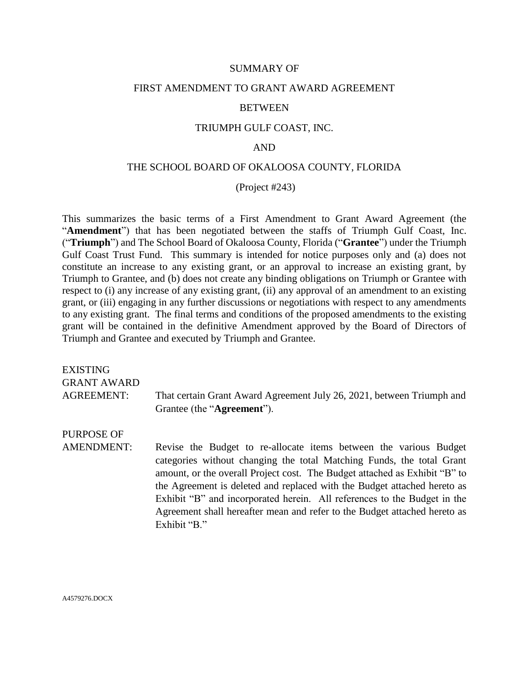### SUMMARY OF

### FIRST AMENDMENT TO GRANT AWARD AGREEMENT

#### BETWEEN

## TRIUMPH GULF COAST, INC.

## AND

## THE SCHOOL BOARD OF OKALOOSA COUNTY, FLORIDA

(Project #243)

This summarizes the basic terms of a First Amendment to Grant Award Agreement (the "**Amendment**") that has been negotiated between the staffs of Triumph Gulf Coast, Inc. ("**Triumph**") and The School Board of Okaloosa County, Florida ("**Grantee**") under the Triumph Gulf Coast Trust Fund. This summary is intended for notice purposes only and (a) does not constitute an increase to any existing grant, or an approval to increase an existing grant, by Triumph to Grantee, and (b) does not create any binding obligations on Triumph or Grantee with respect to (i) any increase of any existing grant, (ii) any approval of an amendment to an existing grant, or (iii) engaging in any further discussions or negotiations with respect to any amendments to any existing grant. The final terms and conditions of the proposed amendments to the existing grant will be contained in the definitive Amendment approved by the Board of Directors of Triumph and Grantee and executed by Triumph and Grantee.

| EXISTING<br><b>GRANT AWARD</b> |                                                                                                                                                                                                                                                                                                                                                                                                                                                                               |
|--------------------------------|-------------------------------------------------------------------------------------------------------------------------------------------------------------------------------------------------------------------------------------------------------------------------------------------------------------------------------------------------------------------------------------------------------------------------------------------------------------------------------|
| <b>AGREEMENT:</b>              | That certain Grant Award Agreement July 26, 2021, between Triumph and<br>Grantee (the " <b>Agreement</b> ").                                                                                                                                                                                                                                                                                                                                                                  |
| PURPOSE OF                     |                                                                                                                                                                                                                                                                                                                                                                                                                                                                               |
| <b>AMENDMENT:</b>              | Revise the Budget to re-allocate items between the various Budget<br>categories without changing the total Matching Funds, the total Grant<br>amount, or the overall Project cost. The Budget attached as Exhibit "B" to<br>the Agreement is deleted and replaced with the Budget attached hereto as<br>Exhibit "B" and incorporated herein. All references to the Budget in the<br>Agreement shall hereafter mean and refer to the Budget attached hereto as<br>Exhibit "B." |

A4579276.DOCX